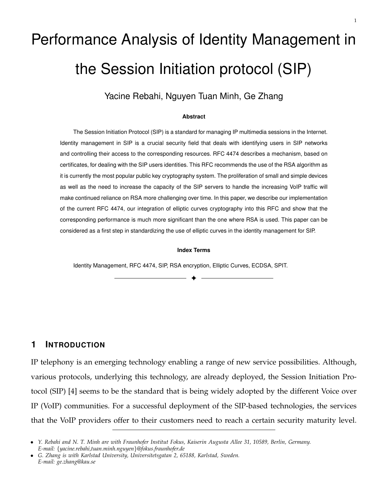# Performance Analysis of Identity Management in the Session Initiation protocol (SIP)

Yacine Rebahi, Nguyen Tuan Minh, Ge Zhang

#### **Abstract**

The Session Initiation Protocol (SIP) is a standard for managing IP multimedia sessions in the Internet. Identity management in SIP is a crucial security field that deals with identifying users in SIP networks and controlling their access to the corresponding resources. RFC 4474 describes a mechanism, based on certificates, for dealing with the SIP users identities. This RFC recommends the use of the RSA algorithm as it is currently the most popular public key cryptography system. The proliferation of small and simple devices as well as the need to increase the capacity of the SIP servers to handle the increasing VoIP traffic will make continued reliance on RSA more challenging over time. In this paper, we describe our implementation of the current RFC 4474, our integration of elliptic curves cryptography into this RFC and show that the corresponding performance is much more significant than the one where RSA is used. This paper can be considered as a first step in standardizing the use of elliptic curves in the identity management for SIP.

#### **Index Terms**

✦

Identity Management, RFC 4474, SIP, RSA encryption, Elliptic Curves, ECDSA, SPIT.

## **1 INTRODUCTION**

IP telephony is an emerging technology enabling a range of new service possibilities. Although, various protocols, underlying this technology, are already deployed, the Session Initiation Protocol (SIP) [4] seems to be the standard that is being widely adopted by the different Voice over IP (VoIP) communities. For a successful deployment of the SIP-based technologies, the services that the VoIP providers offer to their customers need to reach a certain security maturity level.

• *G. Zhang is with Karlstad University, Universitetsgatan 2, 65188, Karlstad, Sweden. E-mail: ge.zhang@kau.se*

<sup>•</sup> *Y. Rebahi and N. T. Minh are with Fraunhofer Institut Fokus, Kaiserin Augusta Allee 31, 10589, Berlin, Germany. E-mail:* {*yacine.rebahi,tuan.minh.nguyen*}*@fokus.fraunhofer.de*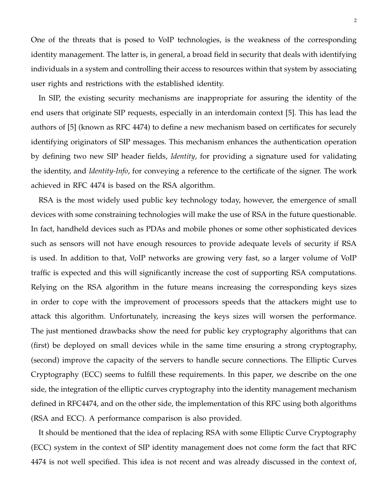One of the threats that is posed to VoIP technologies, is the weakness of the corresponding identity management. The latter is, in general, a broad field in security that deals with identifying individuals in a system and controlling their access to resources within that system by associating user rights and restrictions with the established identity.

In SIP, the existing security mechanisms are inappropriate for assuring the identity of the end users that originate SIP requests, especially in an interdomain context [5]. This has lead the authors of [5] (known as RFC 4474) to define a new mechanism based on certificates for securely identifying originators of SIP messages. This mechanism enhances the authentication operation by defining two new SIP header fields, *Identity*, for providing a signature used for validating the identity, and *Identity-Info*, for conveying a reference to the certificate of the signer. The work achieved in RFC 4474 is based on the RSA algorithm.

RSA is the most widely used public key technology today, however, the emergence of small devices with some constraining technologies will make the use of RSA in the future questionable. In fact, handheld devices such as PDAs and mobile phones or some other sophisticated devices such as sensors will not have enough resources to provide adequate levels of security if RSA is used. In addition to that, VoIP networks are growing very fast, so a larger volume of VoIP traffic is expected and this will significantly increase the cost of supporting RSA computations. Relying on the RSA algorithm in the future means increasing the corresponding keys sizes in order to cope with the improvement of processors speeds that the attackers might use to attack this algorithm. Unfortunately, increasing the keys sizes will worsen the performance. The just mentioned drawbacks show the need for public key cryptography algorithms that can (first) be deployed on small devices while in the same time ensuring a strong cryptography, (second) improve the capacity of the servers to handle secure connections. The Elliptic Curves Cryptography (ECC) seems to fulfill these requirements. In this paper, we describe on the one side, the integration of the elliptic curves cryptography into the identity management mechanism defined in RFC4474, and on the other side, the implementation of this RFC using both algorithms (RSA and ECC). A performance comparison is also provided.

It should be mentioned that the idea of replacing RSA with some Elliptic Curve Cryptography (ECC) system in the context of SIP identity management does not come form the fact that RFC 4474 is not well specified. This idea is not recent and was already discussed in the context of,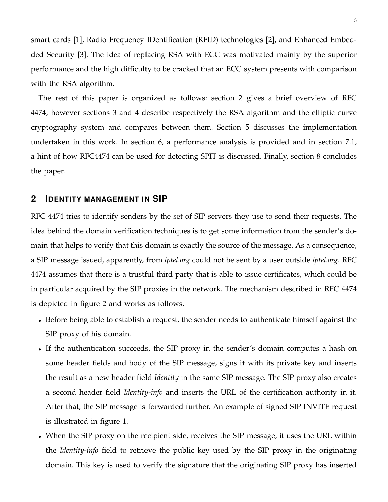smart cards [1], Radio Frequency IDentification (RFID) technologies [2], and Enhanced Embedded Security [3]. The idea of replacing RSA with ECC was motivated mainly by the superior performance and the high difficulty to be cracked that an ECC system presents with comparison with the RSA algorithm.

The rest of this paper is organized as follows: section 2 gives a brief overview of RFC 4474, however sections 3 and 4 describe respectively the RSA algorithm and the elliptic curve cryptography system and compares between them. Section 5 discusses the implementation undertaken in this work. In section 6, a performance analysis is provided and in section 7.1, a hint of how RFC4474 can be used for detecting SPIT is discussed. Finally, section 8 concludes the paper.

### **2 IDENTITY MANAGEMENT IN SIP**

RFC 4474 tries to identify senders by the set of SIP servers they use to send their requests. The idea behind the domain verification techniques is to get some information from the sender's domain that helps to verify that this domain is exactly the source of the message. As a consequence, a SIP message issued, apparently, from *iptel.org* could not be sent by a user outside *iptel.org*. RFC 4474 assumes that there is a trustful third party that is able to issue certificates, which could be in particular acquired by the SIP proxies in the network. The mechanism described in RFC 4474 is depicted in figure 2 and works as follows,

- Before being able to establish a request, the sender needs to authenticate himself against the SIP proxy of his domain.
- If the authentication succeeds, the SIP proxy in the sender's domain computes a hash on some header fields and body of the SIP message, signs it with its private key and inserts the result as a new header field *Identity* in the same SIP message. The SIP proxy also creates a second header field *Identity-info* and inserts the URL of the certification authority in it. After that, the SIP message is forwarded further. An example of signed SIP INVITE request is illustrated in figure 1.
- When the SIP proxy on the recipient side, receives the SIP message, it uses the URL within the *Identity-info* field to retrieve the public key used by the SIP proxy in the originating domain. This key is used to verify the signature that the originating SIP proxy has inserted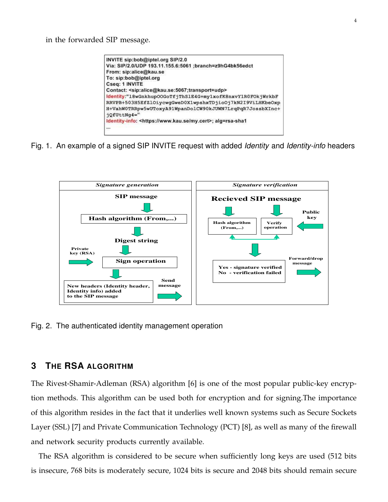in the forwarded SIP message.



Fig. 1. An example of a signed SIP INVITE request with added *Identity* and *Identity-info* headers



Fig. 2. The authenticated identity management operation

# **3 THE RSA ALGORITHM**

The Rivest-Shamir-Adleman (RSA) algorithm [6] is one of the most popular public-key encryption methods. This algorithm can be used both for encryption and for signing.The importance of this algorithm resides in the fact that it underlies well known systems such as Secure Sockets Layer (SSL) [7] and Private Communication Technology (PCT) [8], as well as many of the firewall and network security products currently available.

The RSA algorithm is considered to be secure when sufficiently long keys are used (512 bits is insecure, 768 bits is moderately secure, 1024 bits is secure and 2048 bits should remain secure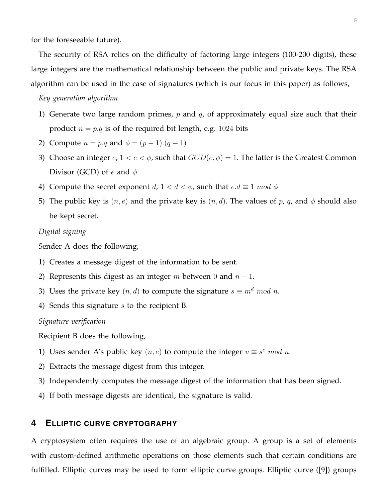for the foreseeable future).

The security of RSA relies on the difficulty of factoring large integers (100-200 digits), these large integers are the mathematical relationship between the public and private keys. The RSA algorithm can be used in the case of signatures (which is our focus in this paper) as follows,

#### *Key generation algorithm*

- 1) Generate two large random primes,  $p$  and  $q$ , of approximately equal size such that their product  $n = p.q$  is of the required bit length, e.g. 1024 bits
- 2) Compute  $n = p.q$  and  $\phi = (p-1).(q-1)$
- 3) Choose an integer  $e, 1 < e < \phi$ , such that  $GCD(e, \phi) = 1$ . The latter is the Greatest Common Divisor (GCD) of e and  $\phi$
- 4) Compute the secret exponent  $d$ ,  $1 < d < \phi$ , such that  $e.d \equiv 1 \mod \phi$
- 5) The public key is  $(n, e)$  and the private key is  $(n, d)$ . The values of p, q, and  $\phi$  should also be kept secret.

#### *Digital signing*

Sender A does the following,

- 1) Creates a message digest of the information to be sent.
- 2) Represents this digest as an integer m between 0 and  $n 1$ .
- 3) Uses the private key  $(n, d)$  to compute the signature  $s \equiv m^d \mod n$ .
- 4) Sends this signature  $s$  to the recipient B.

*Signature verification*

Recipient B does the following,

- 1) Uses sender A's public key  $(n, e)$  to compute the integer  $v \equiv s^e \mod n$ .
- 2) Extracts the message digest from this integer.
- 3) Independently computes the message digest of the information that has been signed.
- 4) If both message digests are identical, the signature is valid.

## **4 ELLIPTIC CURVE CRYPTOGRAPHY**

A cryptosystem often requires the use of an algebraic group. A group is a set of elements with custom-defined arithmetic operations on those elements such that certain conditions are fulfilled. Elliptic curves may be used to form elliptic curve groups. Elliptic curve ([9]) groups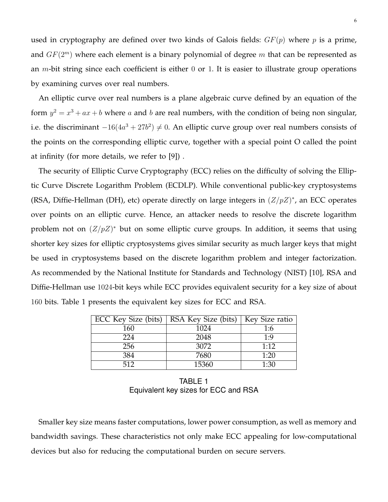used in cryptography are defined over two kinds of Galois fields:  $GF(p)$  where p is a prime, and  $GF(2<sup>m</sup>)$  where each element is a binary polynomial of degree m that can be represented as an  $m$ -bit string since each coefficient is either  $0$  or 1. It is easier to illustrate group operations by examining curves over real numbers.

An elliptic curve over real numbers is a plane algebraic curve defined by an equation of the form  $y^2 = x^3 + ax + b$  where a and b are real numbers, with the condition of being non singular, i.e. the discriminant  $-16(4a^3 + 27b^2) \neq 0$ . An elliptic curve group over real numbers consists of the points on the corresponding elliptic curve, together with a special point O called the point at infinity (for more details, we refer to [9]) .

The security of Elliptic Curve Cryptography (ECC) relies on the difficulty of solving the Elliptic Curve Discrete Logarithm Problem (ECDLP). While conventional public-key cryptosystems (RSA, Diffie-Hellman (DH), etc) operate directly on large integers in  $(Z/pZ)^*$ , an ECC operates over points on an elliptic curve. Hence, an attacker needs to resolve the discrete logarithm problem not on  $(Z/pZ)^*$  but on some elliptic curve groups. In addition, it seems that using shorter key sizes for elliptic cryptosystems gives similar security as much larger keys that might be used in cryptosystems based on the discrete logarithm problem and integer factorization. As recommended by the National Institute for Standards and Technology (NIST) [10], RSA and Diffie-Hellman use 1024-bit keys while ECC provides equivalent security for a key size of about 160 bits. Table 1 presents the equivalent key sizes for ECC and RSA.

|     | ECC Key Size (bits)   RSA Key Size (bits)   Key Size ratio |      |
|-----|------------------------------------------------------------|------|
| 160 | 1024                                                       | 1:6  |
| 224 | 2048                                                       | 1·9  |
| 256 | 3072                                                       | 1:12 |
| 384 | 7680                                                       | 1:20 |
| 512 | 15360                                                      | 1:30 |

TABLE 1 Equivalent key sizes for ECC and RSA

Smaller key size means faster computations, lower power consumption, as well as memory and bandwidth savings. These characteristics not only make ECC appealing for low-computational devices but also for reducing the computational burden on secure servers.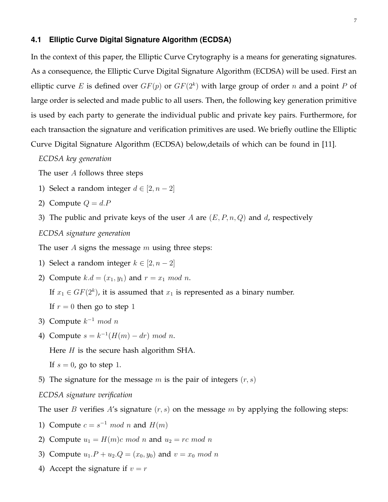#### **4.1 Elliptic Curve Digital Signature Algorithm (ECDSA)**

In the context of this paper, the Elliptic Curve Crytography is a means for generating signatures. As a consequence, the Elliptic Curve Digital Signature Algorithm (ECDSA) will be used. First an elliptic curve E is defined over  $GF(p)$  or  $GF(2<sup>k</sup>)$  with large group of order n and a point P of large order is selected and made public to all users. Then, the following key generation primitive is used by each party to generate the individual public and private key pairs. Furthermore, for each transaction the signature and verification primitives are used. We briefly outline the Elliptic Curve Digital Signature Algorithm (ECDSA) below,details of which can be found in [11].

*ECDSA key generation*

The user A follows three steps

- 1) Select a random integer  $d \in [2, n-2]$
- 2) Compute  $Q = d.P$
- 3) The public and private keys of the user A are  $(E, P, n, Q)$  and d, respectively

## *ECDSA signature generation*

The user A signs the message  $m$  using three steps:

- 1) Select a random integer  $k \in [2, n-2]$
- 2) Compute  $k.d = (x_1, y_1)$  and  $r = x_1 \mod n$ .

If  $x_1 \in GF(2^k)$ , it is assumed that  $x_1$  is represented as a binary number.

If  $r = 0$  then go to step 1

- 3) Compute  $k^{-1} \mod n$
- 4) Compute  $s = k^{-1}(H(m) dr) \mod n$ .

Here  $H$  is the secure hash algorithm SHA.

```
If s = 0, go to step 1.
```
5) The signature for the message m is the pair of integers  $(r, s)$ 

#### *ECDSA signature verification*

The user *B* verifies *A*'s signature  $(r, s)$  on the message *m* by applying the following steps:

- 1) Compute  $c = s^{-1} \mod n$  and  $H(m)$
- 2) Compute  $u_1 = H(m)c \mod n$  and  $u_2 = rc \mod n$
- 3) Compute  $u_1.P + u_2.Q = (x_0, y_0)$  and  $v = x_0 \mod n$
- 4) Accept the signature if  $v = r$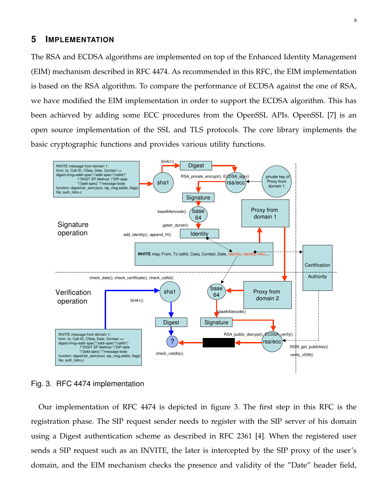## **5 IMPLEMENTATION**

The RSA and ECDSA algorithms are implemented on top of the Enhanced Identity Management (EIM) mechanism described in RFC 4474. As recommended in this RFC, the EIM implementation is based on the RSA algorithm. To compare the performance of ECDSA against the one of RSA, we have modified the EIM implementation in order to support the ECDSA algorithm. This has been achieved by adding some ECC procedures from the OpenSSL APIs. OpenSSL [7] is an open source implementation of the SSL and TLS protocols. The core library implements the basic cryptographic functions and provides various utility functions.



Fig. 3. RFC 4474 implementation

Our implementation of RFC 4474 is depicted in figure 3. The first step in this RFC is the registration phase. The SIP request sender needs to register with the SIP server of his domain using a Digest authentication scheme as described in RFC 2361 [4]. When the registered user sends a SIP request such as an INVITE, the later is intercepted by the SIP proxy of the user's domain, and the EIM mechanism checks the presence and validity of the "Date" header field,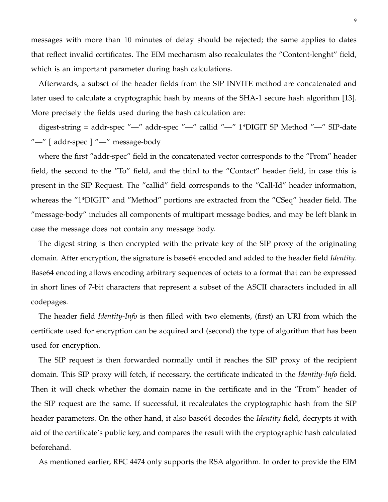messages with more than 10 minutes of delay should be rejected; the same applies to dates that reflect invalid certificates. The EIM mechanism also recalculates the "Content-lenght" field, which is an important parameter during hash calculations.

Afterwards, a subset of the header fields from the SIP INVITE method are concatenated and later used to calculate a cryptographic hash by means of the SHA-1 secure hash algorithm [13]. More precisely the fields used during the hash calculation are:

digest-string = addr-spec "—" addr-spec "—" callid "—" 1\*DIGIT SP Method "—" SIP-date "—" [ addr-spec ] "—" message-body

where the first "addr-spec" field in the concatenated vector corresponds to the "From" header field, the second to the "To" field, and the third to the "Contact" header field, in case this is present in the SIP Request. The "callid" field corresponds to the "Call-Id" header information, whereas the "1\*DIGIT" and "Method" portions are extracted from the "CSeq" header field. The "message-body" includes all components of multipart message bodies, and may be left blank in case the message does not contain any message body.

The digest string is then encrypted with the private key of the SIP proxy of the originating domain. After encryption, the signature is base64 encoded and added to the header field *Identity*. Base64 encoding allows encoding arbitrary sequences of octets to a format that can be expressed in short lines of 7-bit characters that represent a subset of the ASCII characters included in all codepages.

The header field *Identity-Info* is then filled with two elements, (first) an URI from which the certificate used for encryption can be acquired and (second) the type of algorithm that has been used for encryption.

The SIP request is then forwarded normally until it reaches the SIP proxy of the recipient domain. This SIP proxy will fetch, if necessary, the certificate indicated in the *Identity-Info* field. Then it will check whether the domain name in the certificate and in the "From" header of the SIP request are the same. If successful, it recalculates the cryptographic hash from the SIP header parameters. On the other hand, it also base64 decodes the *Identity* field, decrypts it with aid of the certificate's public key, and compares the result with the cryptographic hash calculated beforehand.

As mentioned earlier, RFC 4474 only supports the RSA algorithm. In order to provide the EIM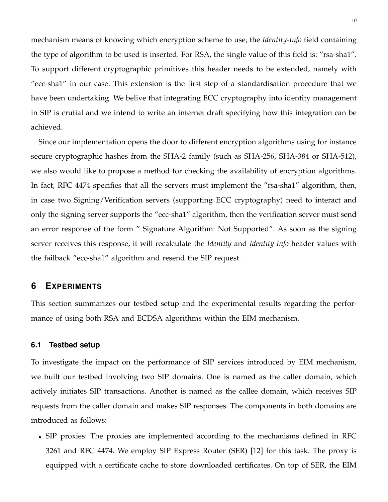mechanism means of knowing which encryption scheme to use, the *Identity-Info* field containing the type of algorithm to be used is inserted. For RSA, the single value of this field is: "rsa-sha1". To support different cryptographic primitives this header needs to be extended, namely with "ecc-sha1" in our case. This extension is the first step of a standardisation procedure that we have been undertaking. We belive that integrating ECC cryptography into identity management in SIP is crutial and we intend to write an internet draft specifying how this integration can be achieved.

Since our implementation opens the door to different encryption algorithms using for instance secure cryptographic hashes from the SHA-2 family (such as SHA-256, SHA-384 or SHA-512), we also would like to propose a method for checking the availability of encryption algorithms. In fact, RFC 4474 specifies that all the servers must implement the "rsa-sha1" algorithm, then, in case two Signing/Verification servers (supporting ECC cryptography) need to interact and only the signing server supports the "ecc-sha1" algorithm, then the verification server must send an error response of the form " Signature Algorithm: Not Supported". As soon as the signing server receives this response, it will recalculate the *Identity* and *Identity-Info* header values with the failback "ecc-sha1" algorithm and resend the SIP request.

## **6 EXPERIMENTS**

This section summarizes our testbed setup and the experimental results regarding the performance of using both RSA and ECDSA algorithms within the EIM mechanism.

#### **6.1 Testbed setup**

To investigate the impact on the performance of SIP services introduced by EIM mechanism, we built our testbed involving two SIP domains. One is named as the caller domain, which actively initiates SIP transactions. Another is named as the callee domain, which receives SIP requests from the caller domain and makes SIP responses. The components in both domains are introduced as follows:

• SIP proxies: The proxies are implemented according to the mechanisms defined in RFC 3261 and RFC 4474. We employ SIP Express Router (SER) [12] for this task. The proxy is equipped with a certificate cache to store downloaded certificates. On top of SER, the EIM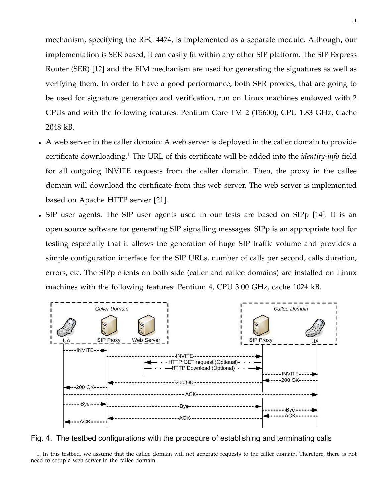mechanism, specifying the RFC 4474, is implemented as a separate module. Although, our implementation is SER based, it can easily fit within any other SIP platform. The SIP Express Router (SER) [12] and the EIM mechanism are used for generating the signatures as well as verifying them. In order to have a good performance, both SER proxies, that are going to be used for signature generation and verification, run on Linux machines endowed with 2 CPUs and with the following features: Pentium Core TM 2 (T5600), CPU 1.83 GHz, Cache 2048 kB.

- A web server in the caller domain: A web server is deployed in the caller domain to provide certificate downloading.<sup>1</sup> The URL of this certificate will be added into the *identity-info* field for all outgoing INVITE requests from the caller domain. Then, the proxy in the callee domain will download the certificate from this web server. The web server is implemented based on Apache HTTP server [21].
- SIP user agents: The SIP user agents used in our tests are based on SIPp [14]. It is an open source software for generating SIP signalling messages. SIPp is an appropriate tool for testing especially that it allows the generation of huge SIP traffic volume and provides a simple configuration interface for the SIP URLs, number of calls per second, calls duration, errors, etc. The SIPp clients on both side (caller and callee domains) are installed on Linux machines with the following features: Pentium 4, CPU 3.00 GHz, cache 1024 kB.



#### Fig. 4. The testbed configurations with the procedure of establishing and terminating calls

1. In this testbed, we assume that the callee domain will not generate requests to the caller domain. Therefore, there is not need to setup a web server in the callee domain.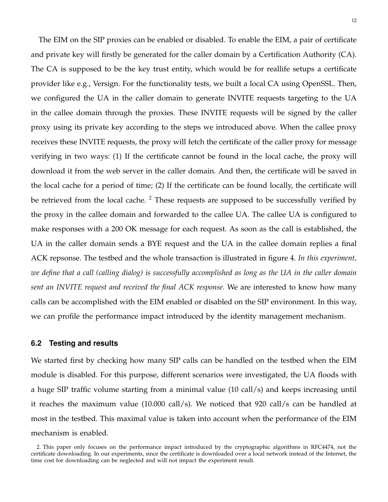The EIM on the SIP proxies can be enabled or disabled. To enable the EIM, a pair of certificate and private key will firstly be generated for the caller domain by a Certification Authority (CA). The CA is supposed to be the key trust entity, which would be for reallife setups a certificate provider like e.g., Versign. For the functionality tests, we built a local CA using OpenSSL. Then, we configured the UA in the caller domain to generate INVITE requests targeting to the UA in the callee domain through the proxies. These INVITE requests will be signed by the caller proxy using its private key according to the steps we introduced above. When the callee proxy receives these INVITE requests, the proxy will fetch the certificate of the caller proxy for message verifying in two ways: (1) If the certificate cannot be found in the local cache, the proxy will download it from the web server in the caller domain. And then, the certificate will be saved in the local cache for a period of time; (2) If the certificate can be found locally, the certificate will be retrieved from the local cache.  $2$  These requests are supposed to be successfully verified by the proxy in the callee domain and forwarded to the callee UA. The callee UA is configured to make responses with a 200 OK message for each request. As soon as the call is established, the UA in the caller domain sends a BYE request and the UA in the callee domain replies a final ACK repsonse. The testbed and the whole transaction is illustrated in figure 4. *In this experiment, we define that a call (calling dialog) is successfully accomplished as long as the UA in the caller domain sent an INVITE request and received the final ACK response.* We are interested to know how many calls can be accomplished with the EIM enabled or disabled on the SIP environment. In this way, we can profile the performance impact introduced by the identity management mechanism.

#### **6.2 Testing and results**

We started first by checking how many SIP calls can be handled on the testbed when the EIM module is disabled. For this purpose, different scenarios were investigated, the UA floods with a huge SIP traffic volume starting from a minimal value (10 call/s) and keeps increasing until it reaches the maximum value (10.000 call/s). We noticed that 920 call/s can be handled at most in the testbed. This maximal value is taken into account when the performance of the EIM mechanism is enabled.

<sup>2.</sup> This paper only focuses on the performance impact introduced by the cryptographic algorithms in RFC4474, not the certificate downloading. In our experiments, since the certificate is downloaded over a local network instead of the Internet, the time cost for downloading can be neglected and will not impact the experiment result.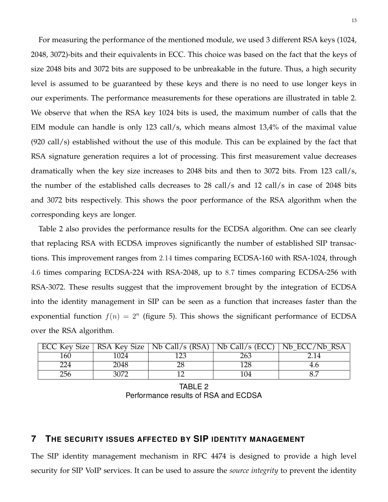For measuring the performance of the mentioned module, we used 3 different RSA keys (1024, 2048, 3072)-bits and their equivalents in ECC. This choice was based on the fact that the keys of size 2048 bits and 3072 bits are supposed to be unbreakable in the future. Thus, a high security level is assumed to be guaranteed by these keys and there is no need to use longer keys in our experiments. The performance measurements for these operations are illustrated in table 2. We observe that when the RSA key 1024 bits is used, the maximum number of calls that the EIM module can handle is only 123 call/s, which means almost 13,4% of the maximal value (920 call/s) established without the use of this module. This can be explained by the fact that RSA signature generation requires a lot of processing. This first measurement value decreases dramatically when the key size increases to 2048 bits and then to 3072 bits. From 123 call/s, the number of the established calls decreases to 28 call/s and 12 call/s in case of 2048 bits and 3072 bits respectively. This shows the poor performance of the RSA algorithm when the corresponding keys are longer.

Table 2 also provides the performance results for the ECDSA algorithm. One can see clearly that replacing RSA with ECDSA improves significantly the number of established SIP transactions. This improvement ranges from 2.14 times comparing ECDSA-160 with RSA-1024, through 4.6 times comparing ECDSA-224 with RSA-2048, up to 8.7 times comparing ECDSA-256 with RSA-3072. These results suggest that the improvement brought by the integration of ECDSA into the identity management in SIP can be seen as a function that increases faster than the exponential function  $f(n) = 2^n$  (figure 5). This shows the significant performance of ECDSA over the RSA algorithm.

|     |      |     | ECC Key Size   RSA Key Size   Nb Call/s (RSA)   Nb Call/s (ECC)   Nb ECC/Nb RSA |
|-----|------|-----|---------------------------------------------------------------------------------|
| 160 | .024 | 263 |                                                                                 |
| 224 | 2048 |     |                                                                                 |
| 256 | 3072 | l04 |                                                                                 |

TABLE 2 Performance results of RSA and ECDSA

## **7 THE SECURITY ISSUES AFFECTED BY SIP IDENTITY MANAGEMENT**

The SIP identity management mechanism in RFC 4474 is designed to provide a high level security for SIP VoIP services. It can be used to assure the *source integrity* to prevent the identity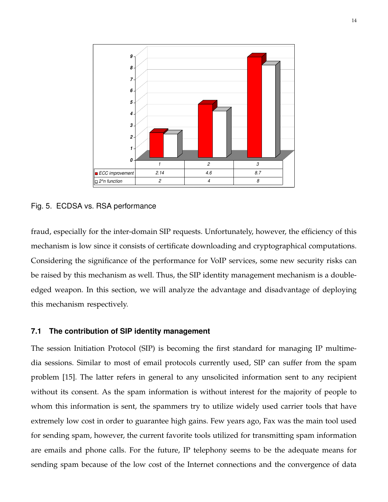

Fig. 5. ECDSA vs. RSA performance

fraud, especially for the inter-domain SIP requests. Unfortunately, however, the efficiency of this mechanism is low since it consists of certificate downloading and cryptographical computations. Considering the significance of the performance for VoIP services, some new security risks can be raised by this mechanism as well. Thus, the SIP identity management mechanism is a doubleedged weapon. In this section, we will analyze the advantage and disadvantage of deploying this mechanism respectively.

## **7.1 The contribution of SIP identity management**

The session Initiation Protocol (SIP) is becoming the first standard for managing IP multimedia sessions. Similar to most of email protocols currently used, SIP can suffer from the spam problem [15]. The latter refers in general to any unsolicited information sent to any recipient without its consent. As the spam information is without interest for the majority of people to whom this information is sent, the spammers try to utilize widely used carrier tools that have extremely low cost in order to guarantee high gains. Few years ago, Fax was the main tool used for sending spam, however, the current favorite tools utilized for transmitting spam information are emails and phone calls. For the future, IP telephony seems to be the adequate means for sending spam because of the low cost of the Internet connections and the convergence of data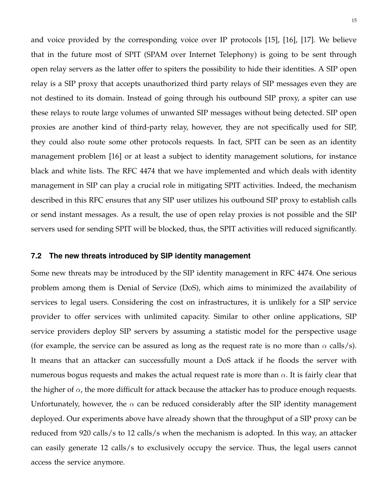and voice provided by the corresponding voice over IP protocols [15], [16], [17]. We believe that in the future most of SPIT (SPAM over Internet Telephony) is going to be sent through open relay servers as the latter offer to spiters the possibility to hide their identities. A SIP open relay is a SIP proxy that accepts unauthorized third party relays of SIP messages even they are not destined to its domain. Instead of going through his outbound SIP proxy, a spiter can use these relays to route large volumes of unwanted SIP messages without being detected. SIP open proxies are another kind of third-party relay, however, they are not specifically used for SIP, they could also route some other protocols requests. In fact, SPIT can be seen as an identity management problem [16] or at least a subject to identity management solutions, for instance black and white lists. The RFC 4474 that we have implemented and which deals with identity management in SIP can play a crucial role in mitigating SPIT activities. Indeed, the mechanism described in this RFC ensures that any SIP user utilizes his outbound SIP proxy to establish calls or send instant messages. As a result, the use of open relay proxies is not possible and the SIP servers used for sending SPIT will be blocked, thus, the SPIT activities will reduced significantly.

#### **7.2 The new threats introduced by SIP identity management**

Some new threats may be introduced by the SIP identity management in RFC 4474. One serious problem among them is Denial of Service (DoS), which aims to minimized the availability of services to legal users. Considering the cost on infrastructures, it is unlikely for a SIP service provider to offer services with unlimited capacity. Similar to other online applications, SIP service providers deploy SIP servers by assuming a statistic model for the perspective usage (for example, the service can be assured as long as the request rate is no more than  $\alpha$  calls/s). It means that an attacker can successfully mount a DoS attack if he floods the server with numerous bogus requests and makes the actual request rate is more than  $\alpha$ . It is fairly clear that the higher of  $\alpha$ , the more difficult for attack because the attacker has to produce enough requests. Unfortunately, however, the  $\alpha$  can be reduced considerably after the SIP identity management deployed. Our experiments above have already shown that the throughput of a SIP proxy can be reduced from 920 calls/s to 12 calls/s when the mechanism is adopted. In this way, an attacker can easily generate 12 calls/s to exclusively occupy the service. Thus, the legal users cannot access the service anymore.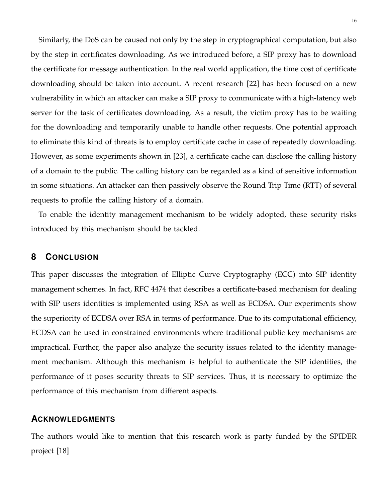Similarly, the DoS can be caused not only by the step in cryptographical computation, but also by the step in certificates downloading. As we introduced before, a SIP proxy has to download the certificate for message authentication. In the real world application, the time cost of certificate downloading should be taken into account. A recent research [22] has been focused on a new vulnerability in which an attacker can make a SIP proxy to communicate with a high-latency web server for the task of certificates downloading. As a result, the victim proxy has to be waiting for the downloading and temporarily unable to handle other requests. One potential approach to eliminate this kind of threats is to employ certificate cache in case of repeatedly downloading. However, as some experiments shown in [23], a certificate cache can disclose the calling history of a domain to the public. The calling history can be regarded as a kind of sensitive information in some situations. An attacker can then passively observe the Round Trip Time (RTT) of several requests to profile the calling history of a domain.

To enable the identity management mechanism to be widely adopted, these security risks introduced by this mechanism should be tackled.

## **8 CONCLUSION**

This paper discusses the integration of Elliptic Curve Cryptography (ECC) into SIP identity management schemes. In fact, RFC 4474 that describes a certificate-based mechanism for dealing with SIP users identities is implemented using RSA as well as ECDSA. Our experiments show the superiority of ECDSA over RSA in terms of performance. Due to its computational efficiency, ECDSA can be used in constrained environments where traditional public key mechanisms are impractical. Further, the paper also analyze the security issues related to the identity management mechanism. Although this mechanism is helpful to authenticate the SIP identities, the performance of it poses security threats to SIP services. Thus, it is necessary to optimize the performance of this mechanism from different aspects.

## **ACKNOWLEDGMENTS**

The authors would like to mention that this research work is party funded by the SPIDER project [18]